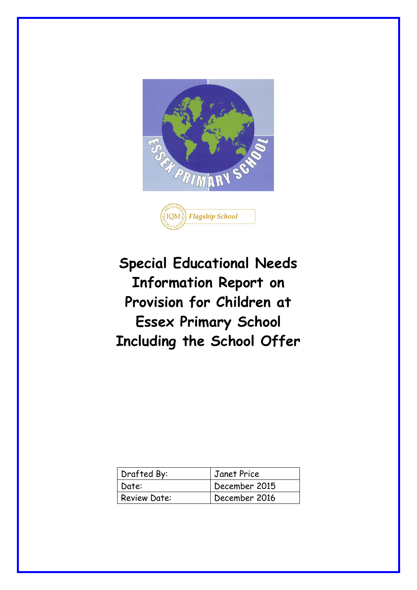



| Drafted By:         | Janet Price   |
|---------------------|---------------|
| Date:               | December 2015 |
| <b>Review Date:</b> | December 2016 |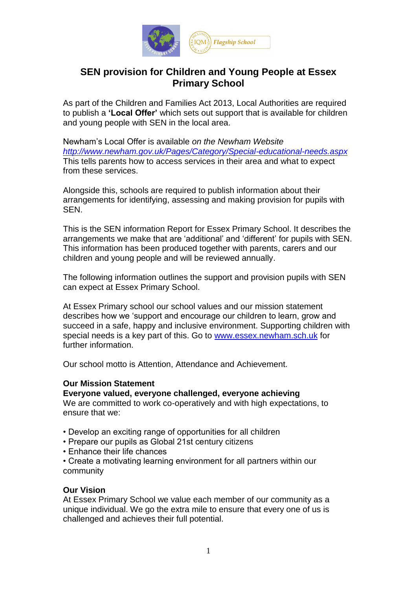

# **SEN provision for Children and Young People at Essex Primary School**

As part of the Children and Families Act 2013, Local Authorities are required to publish a **'Local Offer'** which sets out support that is available for children and young people with SEN in the local area.

Newham's Local Offer is available *on the Newham Website <http://www.newham.gov.uk/Pages/Category/Special-educational-needs.aspx>* This tells parents how to access services in their area and what to expect from these services.

Alongside this, schools are required to publish information about their arrangements for identifying, assessing and making provision for pupils with SEN.

This is the SEN information Report for Essex Primary School. It describes the arrangements we make that are 'additional' and 'different' for pupils with SEN. This information has been produced together with parents, carers and our children and young people and will be reviewed annually.

The following information outlines the support and provision pupils with SEN can expect at Essex Primary School.

At Essex Primary school our school values and our mission statement describes how we 'support and encourage our children to learn, grow and succeed in a safe, happy and inclusive environment. Supporting children with special needs is a key part of this. Go to [www.essex.newham.sch.uk](http://www.essex.newham.sch.uk/) for further information.

Our school motto is Attention, Attendance and Achievement.

### **Our Mission Statement**

### **Everyone valued, everyone challenged, everyone achieving**

We are committed to work co-operatively and with high expectations, to ensure that we:

- Develop an exciting range of opportunities for all children
- Prepare our pupils as Global 21st century citizens
- Enhance their life chances
- Create a motivating learning environment for all partners within our community

### **Our Vision**

At Essex Primary School we value each member of our community as a unique individual. We go the extra mile to ensure that every one of us is challenged and achieves their full potential.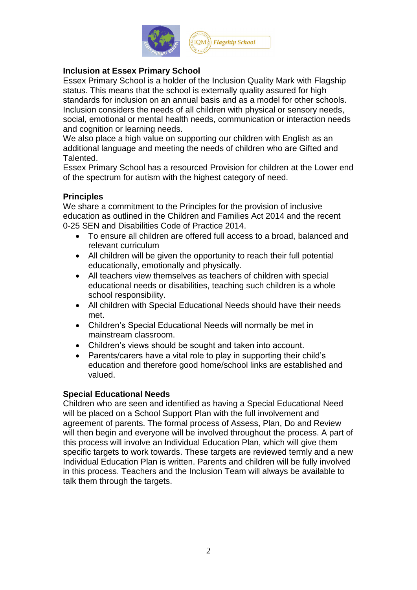

# **Inclusion at Essex Primary School**

Essex Primary School is a holder of the Inclusion Quality Mark with Flagship status. This means that the school is externally quality assured for high standards for inclusion on an annual basis and as a model for other schools. Inclusion considers the needs of all children with physical or sensory needs, social, emotional or mental health needs, communication or interaction needs and cognition or learning needs.

We also place a high value on supporting our children with English as an additional language and meeting the needs of children who are Gifted and Talented.

Essex Primary School has a resourced Provision for children at the Lower end of the spectrum for autism with the highest category of need.

# **Principles**

We share a commitment to the Principles for the provision of inclusive education as outlined in the Children and Families Act 2014 and the recent 0-25 SEN and Disabilities Code of Practice 2014.

- To ensure all children are offered full access to a broad, balanced and relevant curriculum
- All children will be given the opportunity to reach their full potential educationally, emotionally and physically.
- All teachers view themselves as teachers of children with special educational needs or disabilities, teaching such children is a whole school responsibility.
- All children with Special Educational Needs should have their needs met.
- Children's Special Educational Needs will normally be met in mainstream classroom.
- Children's views should be sought and taken into account.
- Parents/carers have a vital role to play in supporting their child's education and therefore good home/school links are established and valued.

### **Special Educational Needs**

Children who are seen and identified as having a Special Educational Need will be placed on a School Support Plan with the full involvement and agreement of parents. The formal process of Assess, Plan, Do and Review will then begin and everyone will be involved throughout the process. A part of this process will involve an Individual Education Plan, which will give them specific targets to work towards. These targets are reviewed termly and a new Individual Education Plan is written. Parents and children will be fully involved in this process. Teachers and the Inclusion Team will always be available to talk them through the targets.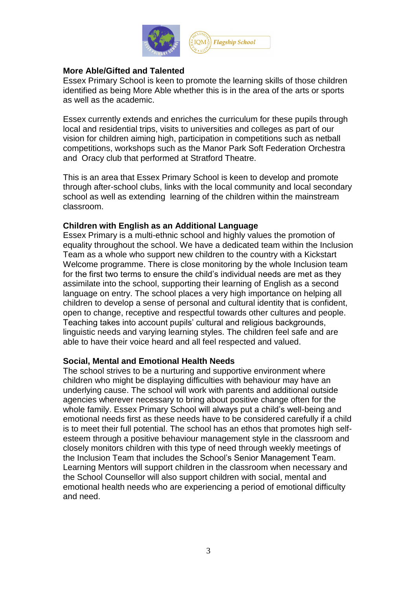

## **More Able/Gifted and Talented**

Essex Primary School is keen to promote the learning skills of those children identified as being More Able whether this is in the area of the arts or sports as well as the academic.

Essex currently extends and enriches the curriculum for these pupils through local and residential trips, visits to universities and colleges as part of our vision for children aiming high, participation in competitions such as netball competitions, workshops such as the Manor Park Soft Federation Orchestra and Oracy club that performed at Stratford Theatre.

This is an area that Essex Primary School is keen to develop and promote through after-school clubs, links with the local community and local secondary school as well as extending learning of the children within the mainstream classroom.

### **Children with English as an Additional Language**

Essex Primary is a multi-ethnic school and highly values the promotion of equality throughout the school. We have a dedicated team within the Inclusion Team as a whole who support new children to the country with a Kickstart Welcome programme. There is close monitoring by the whole Inclusion team for the first two terms to ensure the child's individual needs are met as they assimilate into the school, supporting their learning of English as a second language on entry. The school places a very high importance on helping all children to develop a sense of personal and cultural identity that is confident, open to change, receptive and respectful towards other cultures and people. Teaching takes into account pupils' cultural and religious backgrounds, linguistic needs and varying learning styles. The children feel safe and are able to have their voice heard and all feel respected and valued.

### **Social, Mental and Emotional Health Needs**

The school strives to be a nurturing and supportive environment where children who might be displaying difficulties with behaviour may have an underlying cause. The school will work with parents and additional outside agencies wherever necessary to bring about positive change often for the whole family. Essex Primary School will always put a child's well-being and emotional needs first as these needs have to be considered carefully if a child is to meet their full potential. The school has an ethos that promotes high selfesteem through a positive behaviour management style in the classroom and closely monitors children with this type of need through weekly meetings of the Inclusion Team that includes the School's Senior Management Team. Learning Mentors will support children in the classroom when necessary and the School Counsellor will also support children with social, mental and emotional health needs who are experiencing a period of emotional difficulty and need.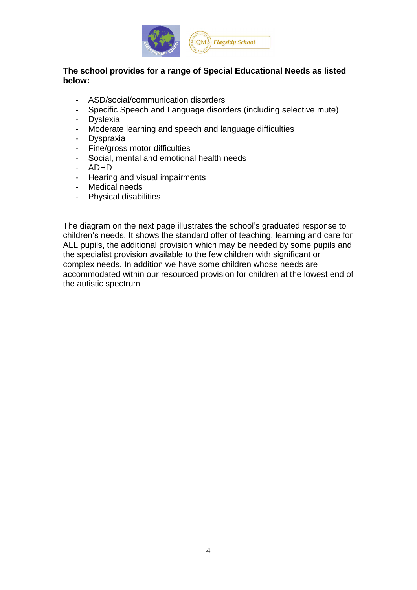

# **The school provides for a range of Special Educational Needs as listed below:**

- ASD/social/communication disorders
- Specific Speech and Language disorders (including selective mute)
- Dyslexia
- Moderate learning and speech and language difficulties
- Dyspraxia
- Fine/gross motor difficulties
- Social, mental and emotional health needs
- ADHD
- Hearing and visual impairments
- Medical needs
- Physical disabilities

The diagram on the next page illustrates the school's graduated response to children's needs. It shows the standard offer of teaching, learning and care for ALL pupils, the additional provision which may be needed by some pupils and the specialist provision available to the few children with significant or complex needs. In addition we have some children whose needs are accommodated within our resourced provision for children at the lowest end of the autistic spectrum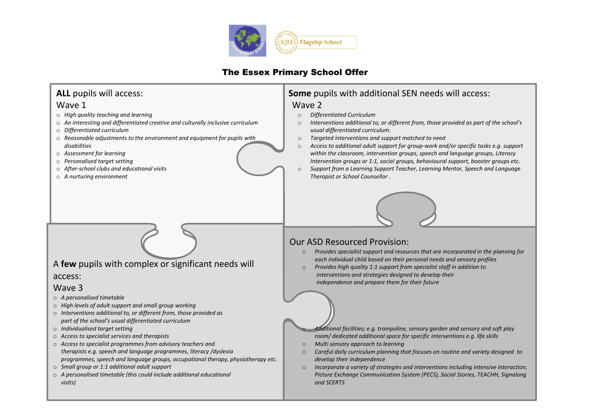

# The Essex Primary School Offer

#### **Some** pupils with additional SEN needs will access: Wave 2 o *Differentiated Curriculum* Interventions additional to, or different from, those provided as part of the school's *usual differentiated curriculum.* o *Targeted interventions and support matched to need* o *Access to additional adult support for group-work and/or specific tasks e.g. support within the classroom, intervention groups, speech and language groups, Literacy Intervention groups or 1:1, social groups, behavioural support, booster groups etc.* Support from a Learning Support Teacher, Learning Mentor, Speech and Language *Therapist or School Counsellor .* **ALL** pupils will access: Wave 1 o *High quality teaching and learning*  o *An interesting and differentiated creative and culturally inclusive curriculum* o *Differentiated curriculum* o *Reasonable adjustments to the environment and equipment for pupils with disabilities* o *Assessment for learning* o *Personalised target setting*  o *After-school clubs and educational visits* o *A nurturing environment* A **few** pupils with complex or significant needs will access: Wave 3 o *A personalised timetable* o *High levels of adult support and small group working* o *Interventions additional to, or different from, those provided as part of the school's usual differentiated curriculum* o *Individualised target setting* o *Access to specialist services and therapists* o *Access to specialist programmes from advisory teachers and therapists e.g. speech and language programmes, literacy /dyslexia programmes, speech and language groups, occupational therapy, physiotherapy etc.* o *Small group or 1:1 additional adult support*  o *A personalised timetable (this could include additional educational visits)* Our ASD Resourced Provision: o *Provides specialist support and resources that are incorporated in the planning for each individual child based on their personal needs and sensory profiles* o *Provides high quality 1:1 support from specialist staff in addition to interventions and strategies designed to develop their independence and prepare them for their future* o *Additional facilities; e.g. trampoline, sensory garden and sensory and soft play room/ dedicated additional space for specific interventions e.g. life skills* o *Multi sensory approach to learning* o *Careful daily curriculum planning that focuses on routine and variety designed to develop their independence* o *Incorporate a variety of strategies and interventions including intensive interaction, Picture Exchange Communication System (PECS), Social Stories, TEACHH, Signalong and SCERTS*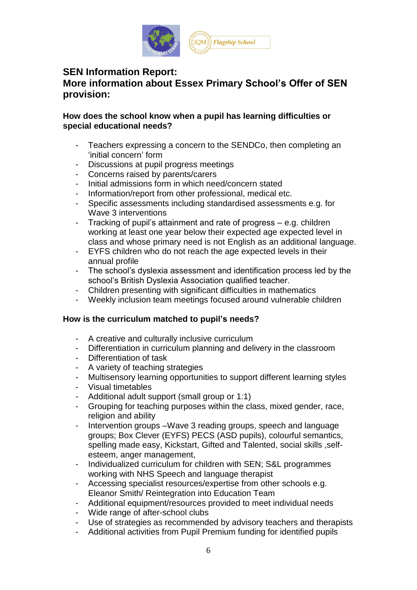

# **SEN Information Report:**

# **More information about Essex Primary School's Offer of SEN provision:**

### **How does the school know when a pupil has learning difficulties or special educational needs?**

- Teachers expressing a concern to the SENDCo, then completing an 'initial concern' form
- Discussions at pupil progress meetings
- Concerns raised by parents/carers
- Initial admissions form in which need/concern stated
- Information/report from other professional, medical etc.
- Specific assessments including standardised assessments e.g. for Wave 3 interventions
- Tracking of pupil's attainment and rate of progress e.g. children working at least one year below their expected age expected level in class and whose primary need is not English as an additional language.
- EYFS children who do not reach the age expected levels in their annual profile
- The school's dyslexia assessment and identification process led by the school's British Dyslexia Association qualified teacher.
- Children presenting with significant difficulties in mathematics
- Weekly inclusion team meetings focused around vulnerable children

### **How is the curriculum matched to pupil's needs?**

- A creative and culturally inclusive curriculum
- Differentiation in curriculum planning and delivery in the classroom
- Differentiation of task
- A variety of teaching strategies
- Multisensory learning opportunities to support different learning styles
- Visual timetables
- Additional adult support (small group or 1:1)
- Grouping for teaching purposes within the class, mixed gender, race, religion and ability
- Intervention groups –Wave 3 reading groups, speech and language groups; Box Clever (EYFS) PECS (ASD pupils), colourful semantics, spelling made easy, Kickstart, Gifted and Talented, social skills, selfesteem, anger management,
- Individualized curriculum for children with SEN; S&L programmes working with NHS Speech and language therapist
- Accessing specialist resources/expertise from other schools e.g. Eleanor Smith/ Reintegration into Education Team
- Additional equipment/resources provided to meet individual needs
- Wide range of after-school clubs
- Use of strategies as recommended by advisory teachers and therapists
- Additional activities from Pupil Premium funding for identified pupils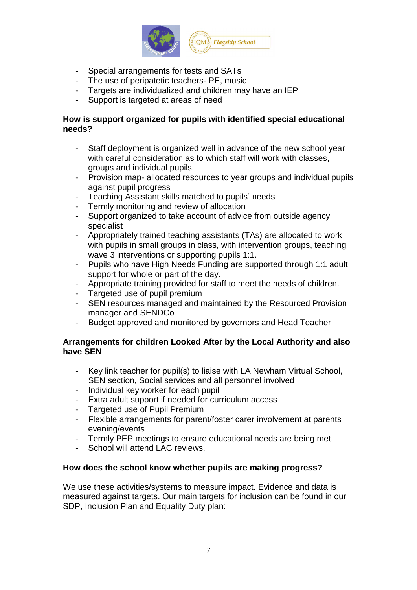

- Special arrangements for tests and SATs
- The use of peripatetic teachers- PE, music
- Targets are individualized and children may have an IEP
- Support is targeted at areas of need

# **How is support organized for pupils with identified special educational needs?**

- Staff deployment is organized well in advance of the new school year with careful consideration as to which staff will work with classes. groups and individual pupils.
- Provision map- allocated resources to year groups and individual pupils against pupil progress
- Teaching Assistant skills matched to pupils' needs
- Termly monitoring and review of allocation
- Support organized to take account of advice from outside agency specialist
- Appropriately trained teaching assistants (TAs) are allocated to work with pupils in small groups in class, with intervention groups, teaching wave 3 interventions or supporting pupils 1:1.
- Pupils who have High Needs Funding are supported through 1:1 adult support for whole or part of the day.
- Appropriate training provided for staff to meet the needs of children.
- Targeted use of pupil premium
- SEN resources managed and maintained by the Resourced Provision manager and SENDCo
- Budget approved and monitored by governors and Head Teacher

# **Arrangements for children Looked After by the Local Authority and also have SEN**

- Key link teacher for pupil(s) to liaise with LA Newham Virtual School, SEN section, Social services and all personnel involved
- Individual key worker for each pupil
- Extra adult support if needed for curriculum access
- Targeted use of Pupil Premium
- Flexible arrangements for parent/foster carer involvement at parents evening/events
- Termly PEP meetings to ensure educational needs are being met.
- School will attend LAC reviews.

### **How does the school know whether pupils are making progress?**

We use these activities/systems to measure impact. Evidence and data is measured against targets. Our main targets for inclusion can be found in our SDP, Inclusion Plan and Equality Duty plan: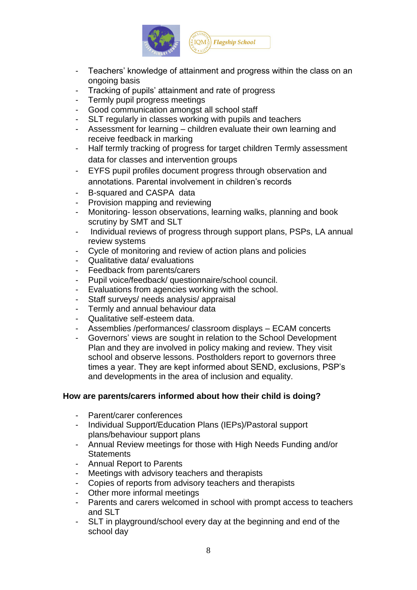

- Teachers' knowledge of attainment and progress within the class on an ongoing basis
- Tracking of pupils' attainment and rate of progress
- Termly pupil progress meetings
- Good communication amongst all school staff
- SLT regularly in classes working with pupils and teachers
- Assessment for learning children evaluate their own learning and receive feedback in marking
- Half termly tracking of progress for target children Termly assessment data for classes and intervention groups
- EYFS pupil profiles document progress through observation and annotations. Parental involvement in children's records
- B-squared and CASPA data
- Provision mapping and reviewing
- Monitoring- lesson observations, learning walks, planning and book scrutiny by SMT and SLT
- Individual reviews of progress through support plans, PSPs, LA annual review systems
- Cycle of monitoring and review of action plans and policies
- Qualitative data/ evaluations
- Feedback from parents/carers
- Pupil voice/feedback/ questionnaire/school council.
- Evaluations from agencies working with the school.
- Staff surveys/ needs analysis/ appraisal
- Termly and annual behaviour data
- Qualitative self-esteem data.
- Assemblies /performances/ classroom displays ECAM concerts
- Governors' views are sought in relation to the School Development Plan and they are involved in policy making and review. They visit school and observe lessons. Postholders report to governors three times a year. They are kept informed about SEND, exclusions, PSP's and developments in the area of inclusion and equality.

### **How are parents/carers informed about how their child is doing?**

- Parent/carer conferences
- Individual Support/Education Plans (IEPs)/Pastoral support plans/behaviour support plans
- Annual Review meetings for those with High Needs Funding and/or **Statements**
- Annual Report to Parents
- Meetings with advisory teachers and therapists<br>- Copies of reports from advisory teachers and the
- Copies of reports from advisory teachers and therapists
- Other more informal meetings
- Parents and carers welcomed in school with prompt access to teachers and SLT
- SLT in playground/school every day at the beginning and end of the school day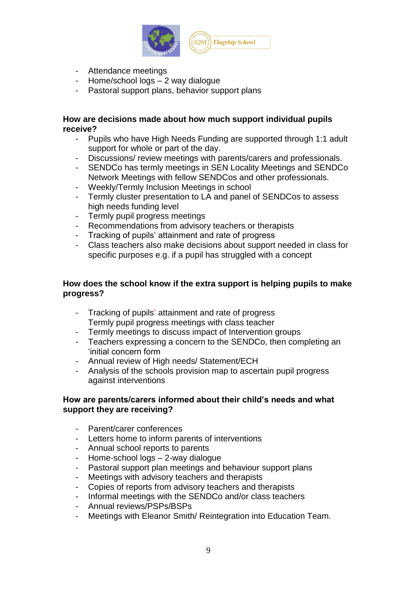

- Attendance meetings
- Home/school logs 2 way dialogue
- Pastoral support plans, behavior support plans

#### **How are decisions made about how much support individual pupils receive?**

- Pupils who have High Needs Funding are supported through 1:1 adult support for whole or part of the day.
- Discussions/ review meetings with parents/carers and professionals.
- SENDCo has termly meetings in SEN Locality Meetings and SENDCo Network Meetings with fellow SENDCos and other professionals.
- Weekly/Termly Inclusion Meetings in school
- Termly cluster presentation to LA and panel of SENDCos to assess high needs funding level
- Termly pupil progress meetings
- Recommendations from advisory teachers or therapists
- Tracking of pupils' attainment and rate of progress
- Class teachers also make decisions about support needed in class for specific purposes e.g. if a pupil has struggled with a concept

### **How does the school know if the extra support is helping pupils to make progress?**

- Tracking of pupils' attainment and rate of progress Termly pupil progress meetings with class teacher
- Termly meetings to discuss impact of Intervention groups
- Teachers expressing a concern to the SENDCo, then completing an 'initial concern form
- Annual review of High needs/ Statement/ECH
- Analysis of the schools provision map to ascertain pupil progress against interventions

### **How are parents/carers informed about their child's needs and what support they are receiving?**

- Parent/carer conferences
- Letters home to inform parents of interventions
- Annual school reports to parents
- Home-school logs 2-way dialogue
- Pastoral support plan meetings and behaviour support plans
- Meetings with advisory teachers and therapists
- Copies of reports from advisory teachers and therapists
- Informal meetings with the SENDCo and/or class teachers
- Annual reviews/PSPs/BSPs
- Meetings with Eleanor Smith/ Reintegration into Education Team.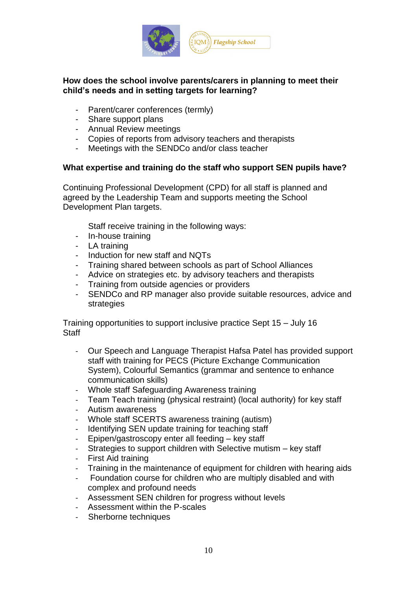

# **How does the school involve parents/carers in planning to meet their child's needs and in setting targets for learning?**

- Parent/carer conferences (termly)
- Share support plans
- Annual Review meetings
- Copies of reports from advisory teachers and therapists
- Meetings with the SENDCo and/or class teacher

# **What expertise and training do the staff who support SEN pupils have?**

Continuing Professional Development (CPD) for all staff is planned and agreed by the Leadership Team and supports meeting the School Development Plan targets.

Staff receive training in the following ways:

- In-house training
- LA training
- Induction for new staff and NQTs
- Training shared between schools as part of School Alliances
- Advice on strategies etc. by advisory teachers and therapists
- Training from outside agencies or providers
- SENDCo and RP manager also provide suitable resources, advice and strategies

Training opportunities to support inclusive practice Sept 15 – July 16 **Staff** 

- Our Speech and Language Therapist Hafsa Patel has provided support staff with training for PECS (Picture Exchange Communication System), Colourful Semantics (grammar and sentence to enhance communication skills)
- Whole staff Safeguarding Awareness training
- Team Teach training (physical restraint) (local authority) for key staff
- Autism awareness
- Whole staff SCERTS awareness training (autism)
- Identifying SEN update training for teaching staff
- Epipen/gastroscopy enter all feeding key staff
- Strategies to support children with Selective mutism key staff
- First Aid training
- Training in the maintenance of equipment for children with hearing aids
- Foundation course for children who are multiply disabled and with complex and profound needs
- Assessment SEN children for progress without levels
- Assessment within the P-scales
- Sherborne techniques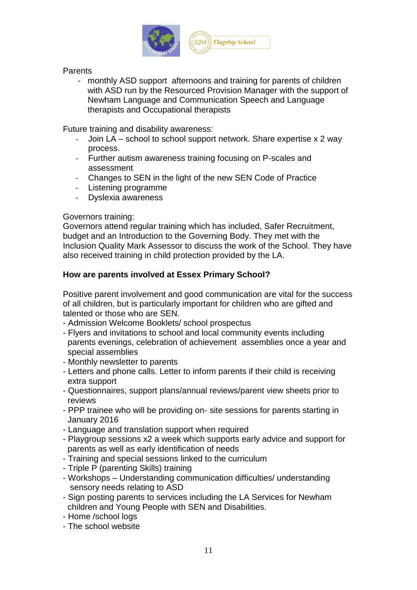

### **Parents**

- monthly ASD support afternoons and training for parents of children with ASD run by the Resourced Provision Manager with the support of Newham Language and Communication Speech and Language therapists and Occupational therapists

Future training and disability awareness:

- Join LA school to school support network. Share expertise x 2 way process.
- Further autism awareness training focusing on P-scales and assessment
- Changes to SEN in the light of the new SEN Code of Practice
- Listening programme
- Dyslexia awareness

# Governors training:

Governors attend regular training which has included, Safer Recruitment, budget and an Introduction to the Governing Body. They met with the Inclusion Quality Mark Assessor to discuss the work of the School. They have also received training in child protection provided by the LA.

# **How are parents involved at Essex Primary School?**

Positive parent involvement and good communication are vital for the success of all children, but is particularly important for children who are gifted and talented or those who are SEN.

- Admission Welcome Booklets/ school prospectus
- Flyers and invitations to school and local community events including parents evenings, celebration of achievement assemblies once a year and special assemblies
- Monthly newsletter to parents
- Letters and phone calls. Letter to inform parents if their child is receiving extra support
- Questionnaires, support plans/annual reviews/parent view sheets prior to reviews
- PPP trainee who will be providing on- site sessions for parents starting in January 2016
- Language and translation support when required
- Playgroup sessions x2 a week which supports early advice and support for parents as well as early identification of needs
- Training and special sessions linked to the curriculum
- Triple P (parenting Skills) training
- Workshops Understanding communication difficulties/ understanding sensory needs relating to ASD
- Sign posting parents to services including the LA Services for Newham children and Young People with SEN and Disabilities.
- Home /school logs
- The school website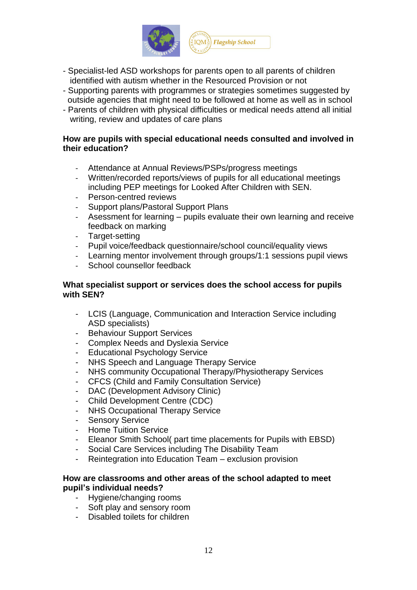

- Specialist-led ASD workshops for parents open to all parents of children identified with autism whether in the Resourced Provision or not
- Supporting parents with programmes or strategies sometimes suggested by outside agencies that might need to be followed at home as well as in school
- Parents of children with physical difficulties or medical needs attend all initial writing, review and updates of care plans

#### **How are pupils with special educational needs consulted and involved in their education?**

- Attendance at Annual Reviews/PSPs/progress meetings
- Written/recorded reports/views of pupils for all educational meetings including PEP meetings for Looked After Children with SEN.
- Person-centred reviews
- Support plans/Pastoral Support Plans
- Asessment for learning pupils evaluate their own learning and receive feedback on marking
- Target-setting
- Pupil voice/feedback questionnaire/school council/equality views
- Learning mentor involvement through groups/1:1 sessions pupil views
- School counsellor feedback

### **What specialist support or services does the school access for pupils with SEN?**

- LCIS (Language, Communication and Interaction Service including ASD specialists)
- Behaviour Support Services
- Complex Needs and Dyslexia Service
- Educational Psychology Service
- NHS Speech and Language Therapy Service
- NHS community Occupational Therapy/Physiotherapy Services
- CFCS (Child and Family Consultation Service)
- DAC (Development Advisory Clinic)
- Child Development Centre (CDC)
- NHS Occupational Therapy Service
- Sensory Service
- Home Tuition Service
- Eleanor Smith School( part time placements for Pupils with EBSD)
- Social Care Services including The Disability Team
- Reintegration into Education Team exclusion provision

#### **How are classrooms and other areas of the school adapted to meet pupil's individual needs?**

- Hygiene/changing rooms
- Soft play and sensory room
- Disabled toilets for children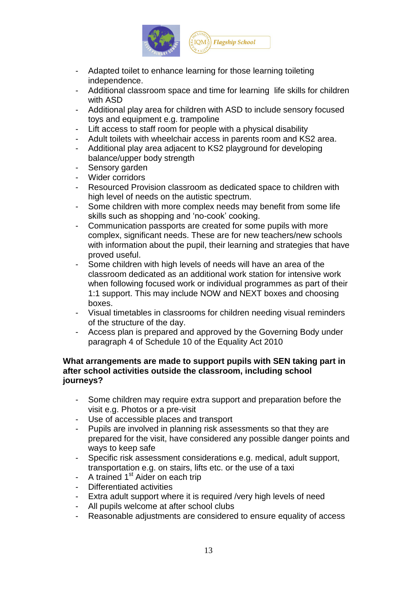

- Adapted toilet to enhance learning for those learning toileting independence.
- Additional classroom space and time for learning life skills for children with ASD
- Additional play area for children with ASD to include sensory focused toys and equipment e.g. trampoline
- Lift access to staff room for people with a physical disability
- Adult toilets with wheelchair access in parents room and KS2 area.
- Additional play area adjacent to KS2 playground for developing balance/upper body strength
- Sensory garden
- Wider corridors
- Resourced Provision classroom as dedicated space to children with high level of needs on the autistic spectrum.
- Some children with more complex needs may benefit from some life skills such as shopping and 'no-cook' cooking.
- Communication passports are created for some pupils with more complex, significant needs. These are for new teachers/new schools with information about the pupil, their learning and strategies that have proved useful.
- Some children with high levels of needs will have an area of the classroom dedicated as an additional work station for intensive work when following focused work or individual programmes as part of their 1:1 support. This may include NOW and NEXT boxes and choosing boxes.
- Visual timetables in classrooms for children needing visual reminders of the structure of the day.
- Access plan is prepared and approved by the Governing Body under paragraph 4 of Schedule 10 of the Equality Act 2010

### **What arrangements are made to support pupils with SEN taking part in after school activities outside the classroom, including school journeys?**

- Some children may require extra support and preparation before the visit e.g. Photos or a pre-visit
- Use of accessible places and transport
- Pupils are involved in planning risk assessments so that they are prepared for the visit, have considered any possible danger points and ways to keep safe
- Specific risk assessment considerations e.g. medical, adult support, transportation e.g. on stairs, lifts etc. or the use of a taxi
- A trained 1<sup>st</sup> Aider on each trip
- Differentiated activities
- Extra adult support where it is required /very high levels of need
- All pupils welcome at after school clubs
- Reasonable adjustments are considered to ensure equality of access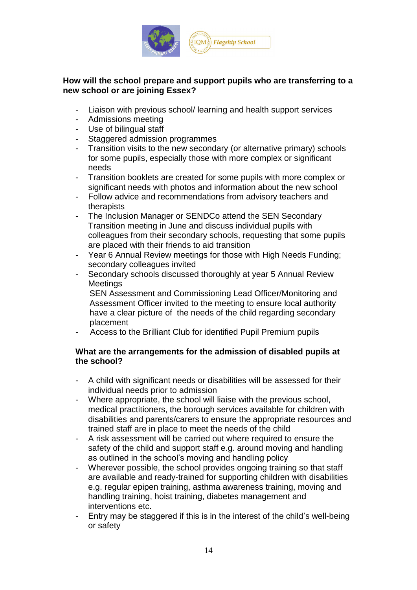

# **How will the school prepare and support pupils who are transferring to a new school or are joining Essex?**

- Liaison with previous school/ learning and health support services
- Admissions meeting
- Use of bilingual staff
- Staggered admission programmes
- Transition visits to the new secondary (or alternative primary) schools for some pupils, especially those with more complex or significant needs
- Transition booklets are created for some pupils with more complex or significant needs with photos and information about the new school
- Follow advice and recommendations from advisory teachers and therapists
- The Inclusion Manager or SENDCo attend the SEN Secondary Transition meeting in June and discuss individual pupils with colleagues from their secondary schools, requesting that some pupils are placed with their friends to aid transition
- Year 6 Annual Review meetings for those with High Needs Funding; secondary colleagues invited
- Secondary schools discussed thoroughly at year 5 Annual Review Meetings

 SEN Assessment and Commissioning Lead Officer/Monitoring and Assessment Officer invited to the meeting to ensure local authority have a clear picture of the needs of the child regarding secondary placement

- Access to the Brilliant Club for identified Pupil Premium pupils

# **What are the arrangements for the admission of disabled pupils at the school?**

- A child with significant needs or disabilities will be assessed for their individual needs prior to admission
- Where appropriate, the school will liaise with the previous school, medical practitioners, the borough services available for children with disabilities and parents/carers to ensure the appropriate resources and trained staff are in place to meet the needs of the child
- A risk assessment will be carried out where required to ensure the safety of the child and support staff e.g. around moving and handling as outlined in the school's moving and handling policy
- Wherever possible, the school provides ongoing training so that staff are available and ready-trained for supporting children with disabilities e.g. regular epipen training, asthma awareness training, moving and handling training, hoist training, diabetes management and interventions etc.
- Entry may be staggered if this is in the interest of the child's well-being or safety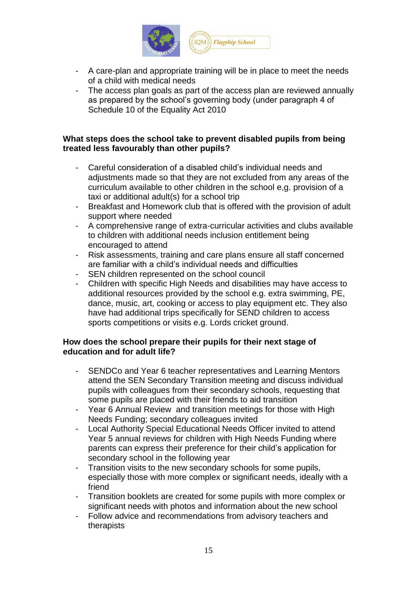

- A care-plan and appropriate training will be in place to meet the needs of a child with medical needs
- The access plan goals as part of the access plan are reviewed annually as prepared by the school's governing body (under paragraph 4 of Schedule 10 of the Equality Act 2010

#### **What steps does the school take to prevent disabled pupils from being treated less favourably than other pupils?**

- Careful consideration of a disabled child's individual needs and adjustments made so that they are not excluded from any areas of the curriculum available to other children in the school e,g. provision of a taxi or additional adult(s) for a school trip
- Breakfast and Homework club that is offered with the provision of adult support where needed
- A comprehensive range of extra-curricular activities and clubs available to children with additional needs inclusion entitlement being encouraged to attend
- Risk assessments, training and care plans ensure all staff concerned are familiar with a child's individual needs and difficulties
- SEN children represented on the school council
- Children with specific High Needs and disabilities may have access to additional resources provided by the school e.g. extra swimming, PE, dance, music, art, cooking or access to play equipment etc. They also have had additional trips specifically for SEND children to access sports competitions or visits e.g. Lords cricket ground.

# **How does the school prepare their pupils for their next stage of education and for adult life?**

- SENDCo and Year 6 teacher representatives and Learning Mentors attend the SEN Secondary Transition meeting and discuss individual pupils with colleagues from their secondary schools, requesting that some pupils are placed with their friends to aid transition
- Year 6 Annual Review and transition meetings for those with High Needs Funding; secondary colleagues invited
- Local Authority Special Educational Needs Officer invited to attend Year 5 annual reviews for children with High Needs Funding where parents can express their preference for their child's application for secondary school in the following year
- Transition visits to the new secondary schools for some pupils, especially those with more complex or significant needs, ideally with a friend
- Transition booklets are created for some pupils with more complex or significant needs with photos and information about the new school
- Follow advice and recommendations from advisory teachers and therapists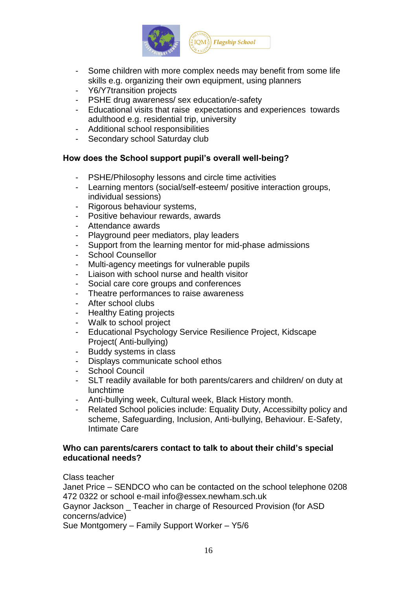

- Some children with more complex needs may benefit from some life skills e.g. organizing their own equipment, using planners
- Y6/Y7transition projects
- PSHE drug awareness/ sex education/e-safety
- Educational visits that raise expectations and experiences towards adulthood e.g. residential trip, university
- Additional school responsibilities
- Secondary school Saturday club

# **How does the School support pupil's overall well-being?**

- PSHE/Philosophy lessons and circle time activities
- Learning mentors (social/self-esteem/ positive interaction groups, individual sessions)
- Rigorous behaviour systems,
- Positive behaviour rewards, awards
- Attendance awards
- Playground peer mediators, play leaders
- Support from the learning mentor for mid-phase admissions
- School Counsellor
- Multi-agency meetings for vulnerable pupils
- Liaison with school nurse and health visitor
- Social care core groups and conferences
- Theatre performances to raise awareness
- After school clubs
- Healthy Eating projects
- Walk to school project
- Educational Psychology Service Resilience Project, Kidscape Project( Anti-bullying)
- Buddy systems in class
- Displays communicate school ethos
- School Council
- SLT readily available for both parents/carers and children/ on duty at lunchtime
- Anti-bullying week, Cultural week, Black History month.
- Related School policies include: Equality Duty, Accessibilty policy and scheme, Safeguarding, Inclusion, Anti-bullying, Behaviour. E-Safety, Intimate Care

#### **Who can parents/carers contact to talk to about their child's special educational needs?**

Class teacher

Janet Price – SENDCO who can be contacted on the school telephone 0208 472 0322 or school e-mail info@essex.newham.sch.uk Gaynor Jackson \_ Teacher in charge of Resourced Provision (for ASD concerns/advice) Sue Montgomery – Family Support Worker – Y5/6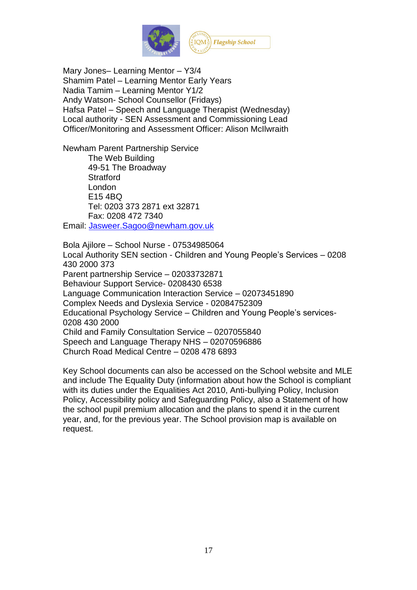

Mary Jones– Learning Mentor – Y3/4 Shamim Patel – Learning Mentor Early Years Nadia Tamim – Learning Mentor Y1/2 Andy Watson- School Counsellor (Fridays) Hafsa Patel – Speech and Language Therapist (Wednesday) Local authority - SEN Assessment and Commissioning Lead Officer/Monitoring and Assessment Officer: Alison McIlwraith

Newham Parent Partnership Service The Web Building 49-51 The Broadway **Stratford** London E15 4BQ Tel: 0203 373 2871 ext 32871 Fax: 0208 472 7340

Email: [Jasweer.Sagoo@newham.gov.uk](mailto:Jasweer.Sagoo@newham.gov.uk)

Bola Ajilore – School Nurse - 07534985064 Local Authority SEN section - Children and Young People's Services – 0208 430 2000 373 Parent partnership Service – 02033732871 Behaviour Support Service- 0208430 6538 Language Communication Interaction Service – 02073451890 Complex Needs and Dyslexia Service - 02084752309 Educational Psychology Service – Children and Young People's services-0208 430 2000 Child and Family Consultation Service – 0207055840 Speech and Language Therapy NHS – 02070596886 Church Road Medical Centre – 0208 478 6893

Key School documents can also be accessed on the School website and MLE and include The Equality Duty (information about how the School is compliant with its duties under the Equalities Act 2010, Anti-bullying Policy, Inclusion Policy, Accessibility policy and Safeguarding Policy, also a Statement of how the school pupil premium allocation and the plans to spend it in the current year, and, for the previous year. The School provision map is available on request.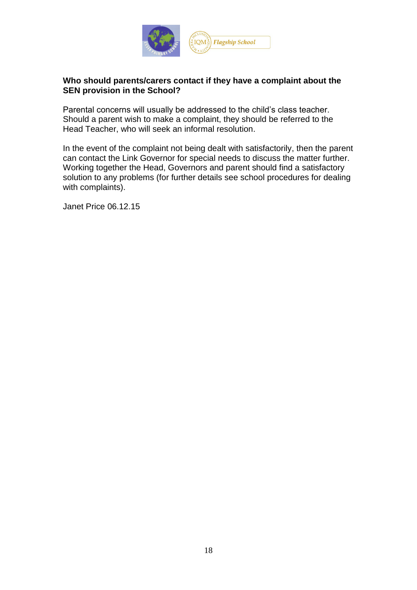

# **Who should parents/carers contact if they have a complaint about the SEN provision in the School?**

Parental concerns will usually be addressed to the child's class teacher. Should a parent wish to make a complaint, they should be referred to the Head Teacher, who will seek an informal resolution.

In the event of the complaint not being dealt with satisfactorily, then the parent can contact the Link Governor for special needs to discuss the matter further. Working together the Head, Governors and parent should find a satisfactory solution to any problems (for further details see school procedures for dealing with complaints).

Janet Price 06.12.15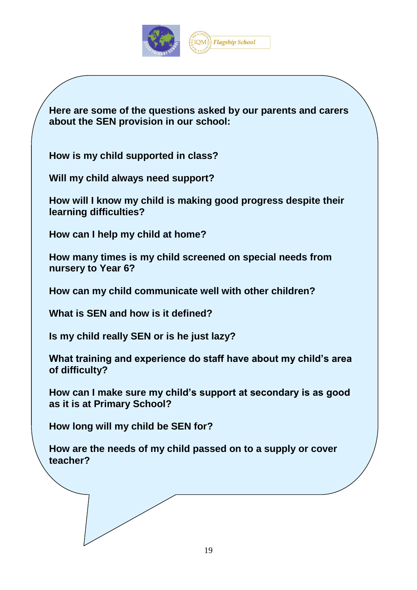

**Here are some of the questions asked by our parents and carers about the SEN provision in our school:**

**How is my child supported in class?**

**Will my child always need support?**

**How will I know my child is making good progress despite their learning difficulties?**

**How can I help my child at home?**

**How many times is my child screened on special needs from nursery to Year 6?**

**How can my child communicate well with other children?**

**What is SEN and how is it defined?**

**Is my child really SEN or is he just lazy?**

**What training and experience do staff have about my child's area of difficulty?**

**How can I make sure my child's support at secondary is as good as it is at Primary School?**

**How long will my child be SEN for?**

**How are the needs of my child passed on to a supply or cover teacher?**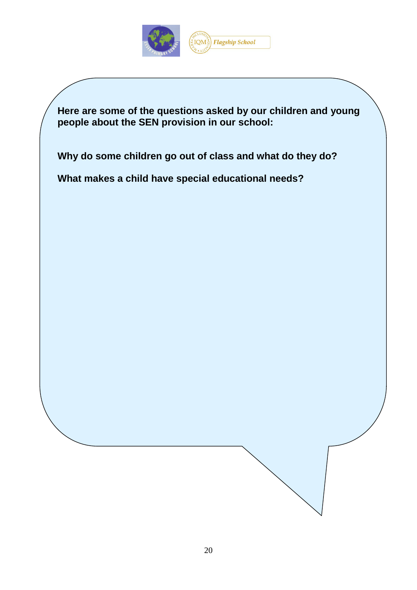

**Here are some of the questions asked by our children and young people about the SEN provision in our school:**

**Why do some children go out of class and what do they do?**

**What makes a child have special educational needs?**